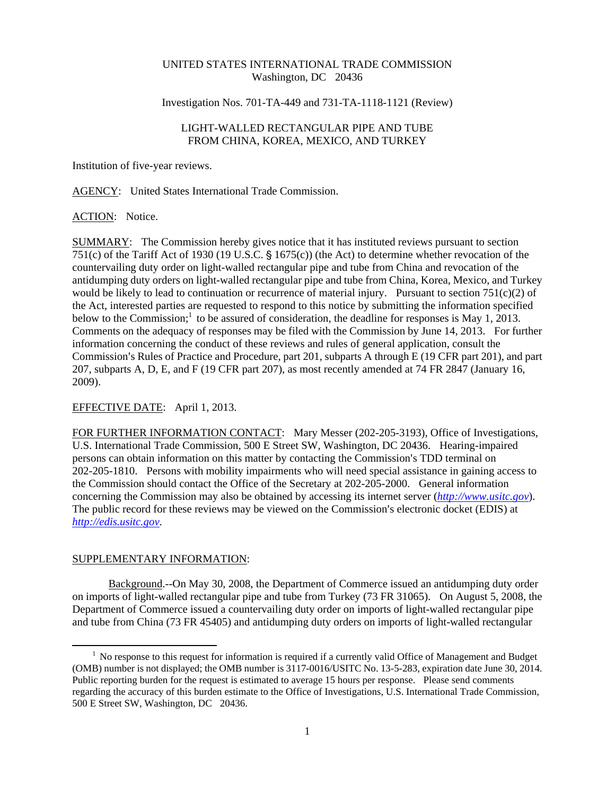### UNITED STATES INTERNATIONAL TRADE COMMISSION Washington, DC 20436

#### Investigation Nos. 701-TA-449 and 731-TA-1118-1121 (Review)

# LIGHT-WALLED RECTANGULAR PIPE AND TUBE FROM CHINA, KOREA, MEXICO, AND TURKEY

Institution of five-year reviews.

AGENCY: United States International Trade Commission.

### ACTION: Notice.

SUMMARY: The Commission hereby gives notice that it has instituted reviews pursuant to section 751(c) of the Tariff Act of 1930 (19 U.S.C.  $\frac{6}{5}$  1675(c)) (the Act) to determine whether revocation of the countervailing duty order on light-walled rectangular pipe and tube from China and revocation of the antidumping duty orders on light-walled rectangular pipe and tube from China, Korea, Mexico, and Turkey would be likely to lead to continuation or recurrence of material injury. Pursuant to section 751(c)(2) of the Act, interested parties are requested to respond to this notice by submitting the information specified below to the Commission;<sup>1</sup> to be assured of consideration, the deadline for responses is May 1, 2013. Comments on the adequacy of responses may be filed with the Commission by June 14, 2013. For further information concerning the conduct of these reviews and rules of general application, consult the Commission's Rules of Practice and Procedure, part 201, subparts A through E (19 CFR part 201), and part 207, subparts A, D, E, and F (19 CFR part 207), as most recently amended at 74 FR 2847 (January 16, 2009).

# EFFECTIVE DATE: April 1, 2013.

FOR FURTHER INFORMATION CONTACT: Mary Messer (202-205-3193), Office of Investigations, U.S. International Trade Commission, 500 E Street SW, Washington, DC 20436. Hearing-impaired persons can obtain information on this matter by contacting the Commission's TDD terminal on 202-205-1810. Persons with mobility impairments who will need special assistance in gaining access to the Commission should contact the Office of the Secretary at 202-205-2000. General information concerning the Commission may also be obtained by accessing its internet server (*http://www.usitc.gov*). The public record for these reviews may be viewed on the Commission's electronic docket (EDIS) at *http://edis.usitc.gov*.

#### SUPPLEMENTARY INFORMATION:

 $\overline{a}$ 

Background.--On May 30, 2008, the Department of Commerce issued an antidumping duty order on imports of light-walled rectangular pipe and tube from Turkey (73 FR 31065). On August 5, 2008, the Department of Commerce issued a countervailing duty order on imports of light-walled rectangular pipe and tube from China (73 FR 45405) and antidumping duty orders on imports of light-walled rectangular

<sup>&</sup>lt;sup>1</sup> No response to this request for information is required if a currently valid Office of Management and Budget (OMB) number is not displayed; the OMB number is 3117-0016/USITC No. 13-5-283, expiration date June 30, 2014. Public reporting burden for the request is estimated to average 15 hours per response. Please send comments regarding the accuracy of this burden estimate to the Office of Investigations, U.S. International Trade Commission, 500 E Street SW, Washington, DC 20436.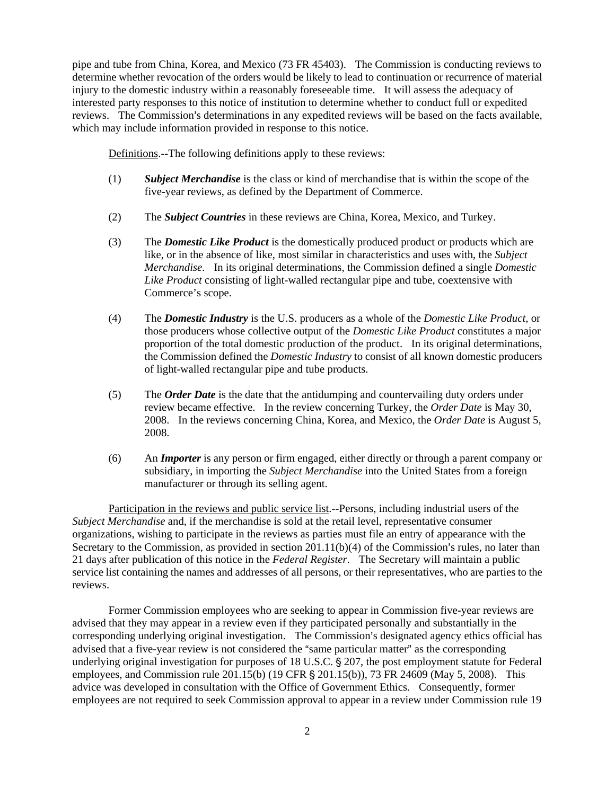pipe and tube from China, Korea, and Mexico (73 FR 45403). The Commission is conducting reviews to determine whether revocation of the orders would be likely to lead to continuation or recurrence of material injury to the domestic industry within a reasonably foreseeable time. It will assess the adequacy of interested party responses to this notice of institution to determine whether to conduct full or expedited reviews. The Commission's determinations in any expedited reviews will be based on the facts available, which may include information provided in response to this notice.

Definitions.--The following definitions apply to these reviews:

- (1) *Subject Merchandise* is the class or kind of merchandise that is within the scope of the five-year reviews, as defined by the Department of Commerce.
- (2) The *Subject Countries* in these reviews are China, Korea, Mexico, and Turkey.
- (3) The *Domestic Like Product* is the domestically produced product or products which are like, or in the absence of like, most similar in characteristics and uses with, the *Subject Merchandise*. In its original determinations, the Commission defined a single *Domestic Like Product* consisting of light-walled rectangular pipe and tube, coextensive with Commerce's scope.
- (4) The *Domestic Industry* is the U.S. producers as a whole of the *Domestic Like Product*, or those producers whose collective output of the *Domestic Like Product* constitutes a major proportion of the total domestic production of the product. In its original determinations, the Commission defined the *Domestic Industry* to consist of all known domestic producers of light-walled rectangular pipe and tube products.
- (5) The *Order Date* is the date that the antidumping and countervailing duty orders under review became effective. In the review concerning Turkey, the *Order Date* is May 30, 2008. In the reviews concerning China, Korea, and Mexico, the *Order Date* is August 5, 2008.
- (6) An *Importer* is any person or firm engaged, either directly or through a parent company or subsidiary, in importing the *Subject Merchandise* into the United States from a foreign manufacturer or through its selling agent.

Participation in the reviews and public service list.--Persons, including industrial users of the *Subject Merchandise* and, if the merchandise is sold at the retail level, representative consumer organizations, wishing to participate in the reviews as parties must file an entry of appearance with the Secretary to the Commission, as provided in section  $201.11(b)(4)$  of the Commission's rules, no later than 21 days after publication of this notice in the *Federal Register*. The Secretary will maintain a public service list containing the names and addresses of all persons, or their representatives, who are parties to the reviews.

Former Commission employees who are seeking to appear in Commission five-year reviews are advised that they may appear in a review even if they participated personally and substantially in the corresponding underlying original investigation. The Commission's designated agency ethics official has advised that a five-year review is not considered the "same particular matter" as the corresponding underlying original investigation for purposes of  $18$  U.S.C.  $\S$  207, the post employment statute for Federal employees, and Commission rule  $201.15(b)$  (19 CFR § 201.15(b)), 73 FR 24609 (May 5, 2008). This advice was developed in consultation with the Office of Government Ethics. Consequently, former employees are not required to seek Commission approval to appear in a review under Commission rule 19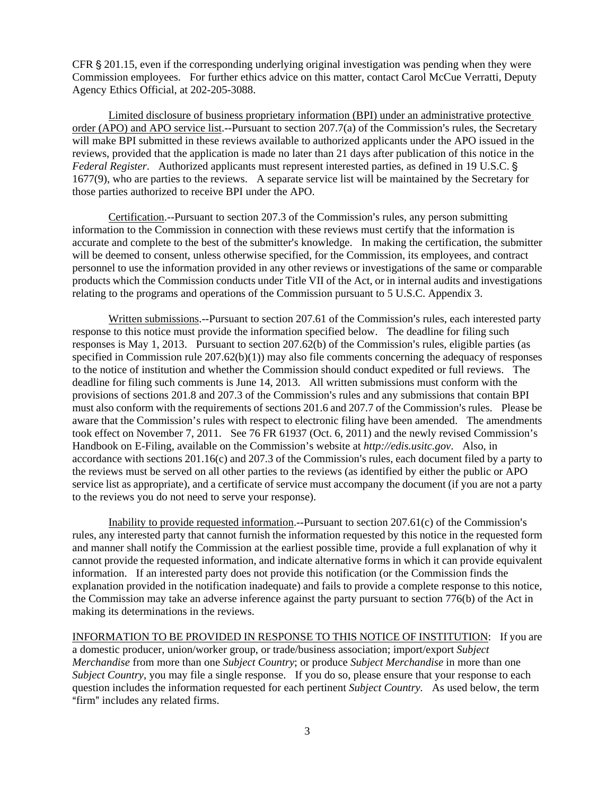CFR  $\S 201.15$ , even if the corresponding underlying original investigation was pending when they were Commission employees. For further ethics advice on this matter, contact Carol McCue Verratti, Deputy Agency Ethics Official, at 202-205-3088.

Limited disclosure of business proprietary information (BPI) under an administrative protective order (APO) and APO service list.--Pursuant to section  $207.7(a)$  of the Commission's rules, the Secretary will make BPI submitted in these reviews available to authorized applicants under the APO issued in the reviews, provided that the application is made no later than 21 days after publication of this notice in the *Federal Register.* Authorized applicants must represent interested parties, as defined in 19 U.S.C. § 1677(9), who are parties to the reviews. A separate service list will be maintained by the Secretary for those parties authorized to receive BPI under the APO.

Certification.--Pursuant to section  $207.3$  of the Commission's rules, any person submitting information to the Commission in connection with these reviews must certify that the information is accurate and complete to the best of the submitter's knowledge. In making the certification, the submitter will be deemed to consent, unless otherwise specified, for the Commission, its employees, and contract personnel to use the information provided in any other reviews or investigations of the same or comparable products which the Commission conducts under Title VII of the Act, or in internal audits and investigations relating to the programs and operations of the Commission pursuant to 5 U.S.C. Appendix 3.

Written submissions.--Pursuant to section 207.61 of the Commission's rules, each interested party response to this notice must provide the information specified below. The deadline for filing such responses is May 1, 2013. Pursuant to section  $207.62(b)$  of the Commission's rules, eligible parties (as specified in Commission rule  $207.62(b)(1)$  may also file comments concerning the adequacy of responses to the notice of institution and whether the Commission should conduct expedited or full reviews. The deadline for filing such comments is June 14, 2013. All written submissions must conform with the provisions of sections 201.8 and 207.3 of the Commission's rules and any submissions that contain BPI must also conform with the requirements of sections 201.6 and 207.7 of the Commission's rules. Please be aware that the Commission's rules with respect to electronic filing have been amended. The amendments took effect on November 7, 2011. See 76 FR 61937 (Oct. 6, 2011) and the newly revised Commission's Handbook on E-Filing, available on the Commission's website at *http://edis.usitc.gov*. Also, in accordance with sections  $201.16(c)$  and  $207.3$  of the Commission's rules, each document filed by a party to the reviews must be served on all other parties to the reviews (as identified by either the public or APO service list as appropriate), and a certificate of service must accompany the document (if you are not a party to the reviews you do not need to serve your response).

Inability to provide requested information.--Pursuant to section  $207.61(c)$  of the Commission's rules, any interested party that cannot furnish the information requested by this notice in the requested form and manner shall notify the Commission at the earliest possible time, provide a full explanation of why it cannot provide the requested information, and indicate alternative forms in which it can provide equivalent information. If an interested party does not provide this notification (or the Commission finds the explanation provided in the notification inadequate) and fails to provide a complete response to this notice, the Commission may take an adverse inference against the party pursuant to section 776(b) of the Act in making its determinations in the reviews.

INFORMATION TO BE PROVIDED IN RESPONSE TO THIS NOTICE OF INSTITUTION: If you are a domestic producer, union/worker group, or trade/business association; import/export *Subject Merchandise* from more than one *Subject Country*; or produce *Subject Merchandise* in more than one *Subject Country*, you may file a single response. If you do so, please ensure that your response to each question includes the information requested for each pertinent *Subject Country.* As used below, the term "firm" includes any related firms.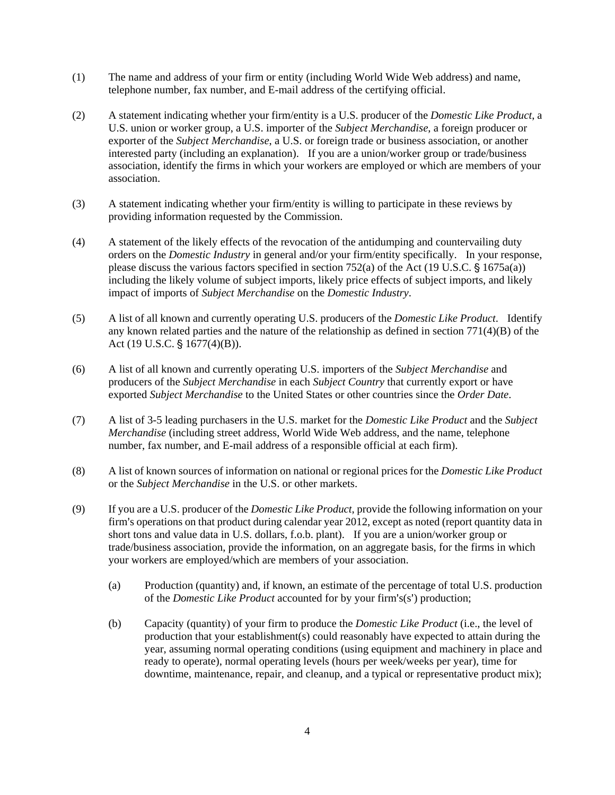- (1) The name and address of your firm or entity (including World Wide Web address) and name, telephone number, fax number, and E-mail address of the certifying official.
- (2) A statement indicating whether your firm/entity is a U.S. producer of the *Domestic Like Product*, a U.S. union or worker group, a U.S. importer of the *Subject Merchandise*, a foreign producer or exporter of the *Subject Merchandise*, a U.S. or foreign trade or business association, or another interested party (including an explanation). If you are a union/worker group or trade/business association, identify the firms in which your workers are employed or which are members of your association.
- (3) A statement indicating whether your firm/entity is willing to participate in these reviews by providing information requested by the Commission.
- (4) A statement of the likely effects of the revocation of the antidumping and countervailing duty orders on the *Domestic Industry* in general and/or your firm/entity specifically. In your response, please discuss the various factors specified in section 752(a) of the Act (19 U.S.C.  $\hat{\S}$  1675a(a)) including the likely volume of subject imports, likely price effects of subject imports, and likely impact of imports of *Subject Merchandise* on the *Domestic Industry*.
- (5) A list of all known and currently operating U.S. producers of the *Domestic Like Product*. Identify any known related parties and the nature of the relationship as defined in section 771(4)(B) of the Act (19 U.S.C.  $\S$  1677(4)(B)).
- (6) A list of all known and currently operating U.S. importers of the *Subject Merchandise* and producers of the *Subject Merchandise* in each *Subject Country* that currently export or have exported *Subject Merchandise* to the United States or other countries since the *Order Date*.
- (7) A list of 3-5 leading purchasers in the U.S. market for the *Domestic Like Product* and the *Subject Merchandise* (including street address, World Wide Web address, and the name, telephone number, fax number, and E-mail address of a responsible official at each firm).
- (8) A list of known sources of information on national or regional prices for the *Domestic Like Product* or the *Subject Merchandise* in the U.S. or other markets.
- (9) If you are a U.S. producer of the *Domestic Like Product*, provide the following information on your firm's operations on that product during calendar year 2012, except as noted (report quantity data in short tons and value data in U.S. dollars, f.o.b. plant). If you are a union/worker group or trade/business association, provide the information, on an aggregate basis, for the firms in which your workers are employed/which are members of your association.
	- (a) Production (quantity) and, if known, an estimate of the percentage of total U.S. production of the *Domestic Like Product* accounted for by your firm's(s') production;
	- (b) Capacity (quantity) of your firm to produce the *Domestic Like Product* (i.e., the level of production that your establishment(s) could reasonably have expected to attain during the year, assuming normal operating conditions (using equipment and machinery in place and ready to operate), normal operating levels (hours per week/weeks per year), time for downtime, maintenance, repair, and cleanup, and a typical or representative product mix);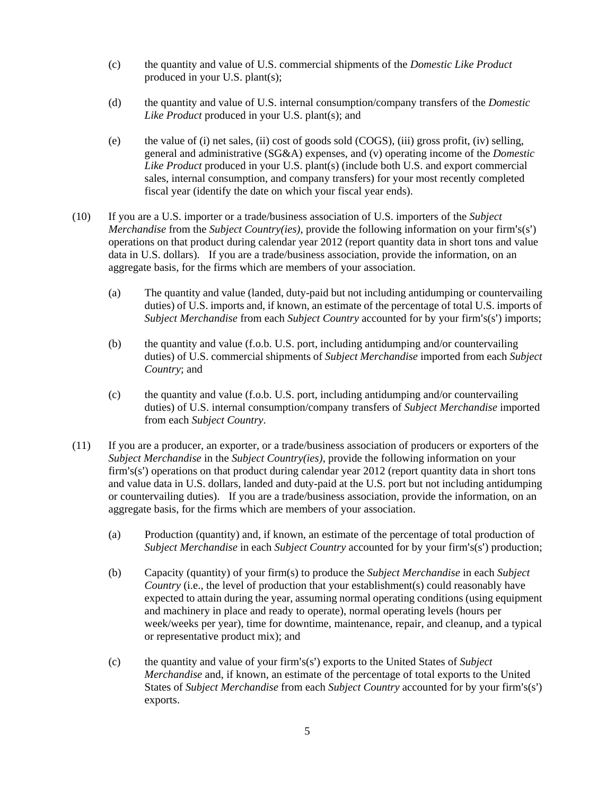- (c) the quantity and value of U.S. commercial shipments of the *Domestic Like Product* produced in your U.S. plant(s);
- (d) the quantity and value of U.S. internal consumption/company transfers of the *Domestic Like Product* produced in your U.S. plant(s); and
- (e) the value of (i) net sales, (ii) cost of goods sold (COGS), (iii) gross profit, (iv) selling, general and administrative (SG&A) expenses, and (v) operating income of the *Domestic Like Product* produced in your U.S. plant(s) (include both U.S. and export commercial sales, internal consumption, and company transfers) for your most recently completed fiscal year (identify the date on which your fiscal year ends).
- (10) If you are a U.S. importer or a trade/business association of U.S. importers of the *Subject Merchandise* from the *Subject Country(ies)*, provide the following information on your firm's(s') operations on that product during calendar year 2012 (report quantity data in short tons and value data in U.S. dollars). If you are a trade/business association, provide the information, on an aggregate basis, for the firms which are members of your association.
	- (a) The quantity and value (landed, duty-paid but not including antidumping or countervailing duties) of U.S. imports and, if known, an estimate of the percentage of total U.S. imports of *Subject Merchandise* from each *Subject Country* accounted for by your firm's(s') imports;
	- (b) the quantity and value (f.o.b. U.S. port, including antidumping and/or countervailing duties) of U.S. commercial shipments of *Subject Merchandise* imported from each *Subject Country*; and
	- (c) the quantity and value (f.o.b. U.S. port, including antidumping and/or countervailing duties) of U.S. internal consumption/company transfers of *Subject Merchandise* imported from each *Subject Country*.
- (11) If you are a producer, an exporter, or a trade/business association of producers or exporters of the *Subject Merchandise* in the *Subject Country(ies)*, provide the following information on your firm's(s') operations on that product during calendar year  $2012$  (report quantity data in short tons and value data in U.S. dollars, landed and duty-paid at the U.S. port but not including antidumping or countervailing duties). If you are a trade/business association, provide the information, on an aggregate basis, for the firms which are members of your association.
	- (a) Production (quantity) and, if known, an estimate of the percentage of total production of *Subject Merchandise* in each *Subject Country* accounted for by your firm's(s') production;
	- (b) Capacity (quantity) of your firm(s) to produce the *Subject Merchandise* in each *Subject Country* (i.e., the level of production that your establishment(s) could reasonably have expected to attain during the year, assuming normal operating conditions (using equipment and machinery in place and ready to operate), normal operating levels (hours per week/weeks per year), time for downtime, maintenance, repair, and cleanup, and a typical or representative product mix); and
	- (c) the quantity and value of your firm's(s') exports to the United States of *Subject Merchandise* and, if known, an estimate of the percentage of total exports to the United States of *Subject Merchandise* from each *Subject Country* accounted for by your firm's(s') exports.